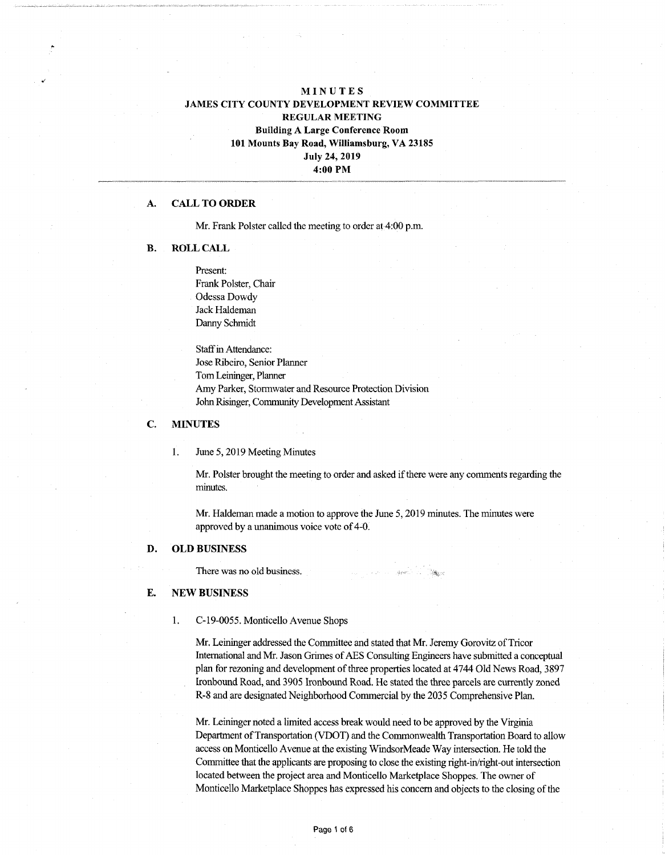# **MINUTES JAMES CITY COUNTY DEVELOPMENT REVIEW COMMITTEE REGULAR MEETING Building A Large Conference Room 101 Mounts Bay Road, Williamsburg, VA 23185 July 24, 2019 4:00 PM**

### **A. CALL TO ORDER**

Mr. Frank Polster called the meeting to order at 4:00 p.m.

#### **B. ROLL CALL**

Present: Frank Polster, Chair Odessa Dowdy Jack Haldeman Danny Schmidt

Staff in Attendance: Jose Ribeiro, Senior Planner TomLeininger, Planner Amy Parker, Stormwater and Resource Protection Division John Risinger, CommunityDevelopment Assistant

## **C. MINUTES**

1. June 5,2019 Meeting Minutes

Mr. Polster brought the meeting to order and asked if there were any comments regarding the minutes.

Mr. Flaldeman made a motion to approve the June 5,2019 minutes. The minutes were approved by a unanimous voice vote of 4-0.

#### **D. OLD BUSINESS**

There was no old business.

#### **E. NEW BUSINESS**

1. C-19-0055. Monticello Avenue Shops

Mr. Leininger addressed the Committee and stated that Mr. Jeremy Gorovitz of Tricor International and Mr. Jason Grimes of AES Consulting Engineers have submitted a conceptual plan for rezoning and development of three properties located at 4744 Old News Road, 3897 Ironbound Road, and 3905 Ironbound Road. He stated the three parcels are currently zoned R-8 and are designated Neighborhood Commercial by the 2035 Comprehensive Plan.

Mr. Leininger noted a limited access break would need to be approved by the Virginia Department of Transportation (VDOT) and the Commonwealth Transportation Board to allow access on Monticello Avenue at the existing WindsorMeade Way intersection. He told the Committee that the applicants are proposing to close the existing right-in/right-out intersection located between the project area and Monticello Marketplace Shoppes. The owner of Monticello Marketplace Shoppes has expressed his concern and objects to the closing of the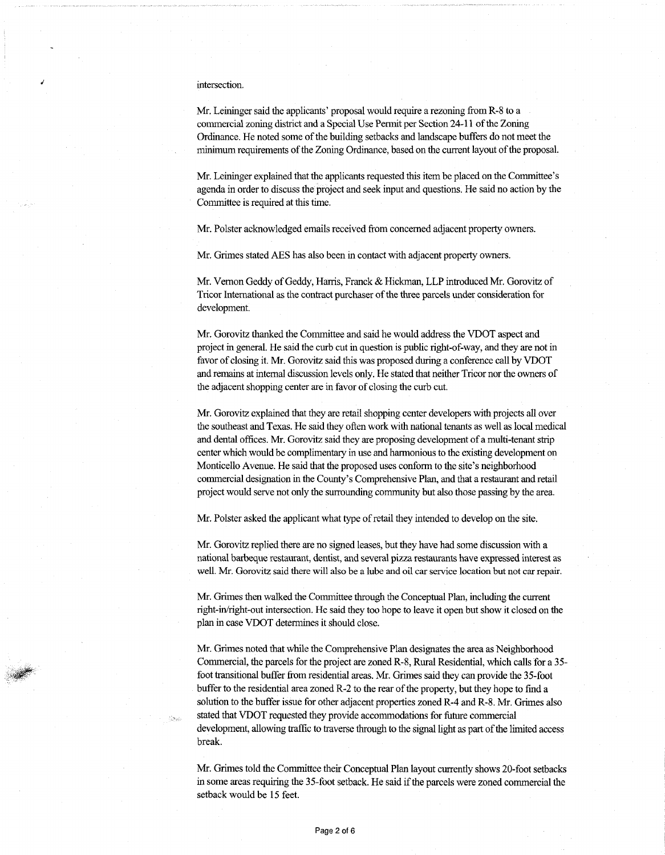#### intersection.

*J*

Mr. Leininger said the applicants' proposal would require a rezoning from R-8 to a commercial zoning district and a Special Use Permit per Section 24-11 of the Zoning Ordinance. He noted some of the building setbacks and landscape buffers do not meet the minimum requirements of the Zoning Ordinance, based on the current layout of the proposal.

Mr. Leininger explained that the applicants requested this item be placed on the Committee's agenda in order to discuss the project and seek input and questions. He said no action by the Committee is required at this time.

Mr. Polster acknowledged emails received from concerned adjacent property owners.

Mr. Grimes stated AES has also been in contact with adjacent property owners.

Mr. Vernon Geddy of Geddy, Harris, Franck & Hickman, LLP introduced Mr. Gorovitz of Tricor International as the contract purchaser of the three parcels under consideration for development.

Mr. Gorovitz thanked the Committee and said he would address the VDOT aspect and projectin general. He said the curb cutin question is public right-of-way, and they are not in favor of closing it. Mr. Gorovitz said this was proposed during a conference call by VDOT and remains atinternal discussion levels only. He stated that neither Tricor nor the owners of the adjacent shopping center are in favor of closing the curb cut.

Mr. Gorovitz explained that they are retail shopping center developers with projects all over the southeast and Texas. He said they often work with national tenants as well as local medical and dental offices. Mr. Gorovitz said they are proposing development ofa multi-tenant strip center which would be complimentary in use and harmonious to the existing development on Monticello Avenue. He said that the proposed uses conform to the site's neighborhood commercial designation in the County's Comprehensive Plan, and that a restaurant and retail project would serve not only the surrounding community but also those passing by the area.

Mr. Polster asked the applicant what type of retail they intended to develop on the site.

Mr. Gorovitz replied there are no signed leases, but they have had some discussion with a national barbeque restaurant, dentist, and several pizza restaurants have expressed interest as well. Mr. Gorovitz said there will also be a lube and oil carservice location but not car repair.

Mr. Grimes then walked the Committee through the Conceptual Plan, including the current right-in/right-out intersection. He said they too hope to leave it open but show it closed on the plan in case VDOT determines it should close.

Mr. Grimes noted that while the Comprehensive Plan designates the area as Neighborhood Commercial, the parcels for the project are zoned R-8, Rural Residential, which calls for a 35 foot transitional buffer from residential areas. Mr. Grimes said they can provide the 35-foot buffer to the residential area zoned R-2 to the rear of the property, but they hope to find a solution to the buffer issue for other adjacent properties zoned R-4 and R-8. Mr. Grimes also stated that VDOT requested they provide accommodations for future commercial development, allowing traffic to traverse through to the signal light as part of the limited access break.

Mr. Grimes told the Committee their Conceptual Plan layout currently shows 20-foot setbacks in some areas requiring the 35-foot setback. He said if the parcels were zoned commercial the setback would be 15 feet.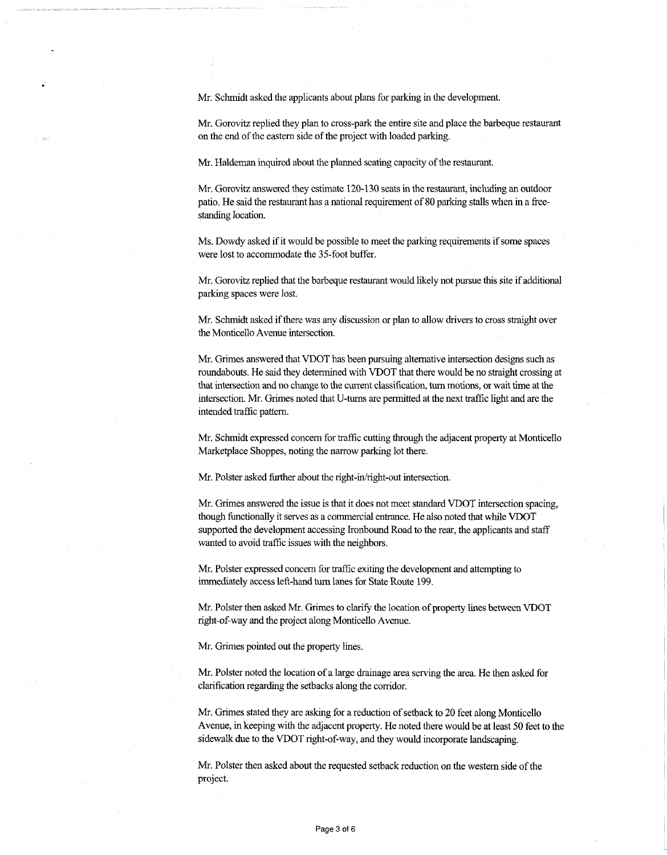Mr. Schmidt asked the applicants about plans for parking in the development.

Mr. Gorovitz replied they plan to cross-park the entire site and place the barbeque restaurant on the end of the eastern side of the project with loaded parking.

Mr. Haldeman inquired about the planned seating capacity of the restaurant.

Mr. Gorovitz answered they estimate 120-130 seats in the restaurant, including an outdoor patio. He said the restaurant has a national requirement of 80 parking stalls when in a freestanding location.

Ms. Dowdy asked if it would be possible to meet the parking requirements if some spaces were lost to accommodate the 35-foot buffer.

Mr. Gorovitz replied that the barbeque restaurant would likely not pursue this site if additional parking spaces were lost.

Mr. Schmidt asked if there was any discussion or plan to allow drivers to cross straight over the Monticello Avenue intersection.

Mr. Grimes answered that VDOT has been pursuing alternative intersection designs such as roundabouts. He said they determined with VDOT that there would be no straight crossing at that intersection and no change to the current classification, turn motions, or wait time at the intersection. Mr. Grimes noted that U-turns are permitted at the next traffic light and are the intended traffic pattern.

Mr. Schmidt expressed concern for traffic cutting through the adjacent property at Monticello Marketplace Shoppes, noting the narrow parking lot there.

Mr. Polster asked further about the right-in/right-out intersection.

Mr. Grimes answered the issue is that it does not meet standard VDOT intersection spacing, though functionally it serves as a commercial entrance. He also noted that while VDOT supported the development accessing Ironbound Road to the rear, the applicants and staff wanted to avoid traffic issues with the neighbors.

Mr. Polster expressed concern for traffic exiting the development and attempting to immediately access left-hand turn lanes for State Route 199.

Mr. Polster then asked Mr. Grimes to clarify the location of property lines between VDOT right-of-way and the project along Monticello Avenue.

Mr. Grimes pointed out the property lines.

Mr. Polster noted the location ofa large drainage area serving the area. He then asked for clarification regarding the setbacks along the corridor.

Mr. Grimes stated they are asking for a reduction of setback to 20 feet along Monticello Avenue, in keeping with the adjacent property. He noted there would be at least 50 feet to the sidewalk due to the VDOT right-of-way, and they would incorporate landscaping.

Mr. Polster then asked about the requested setback reduction on the western side of the project.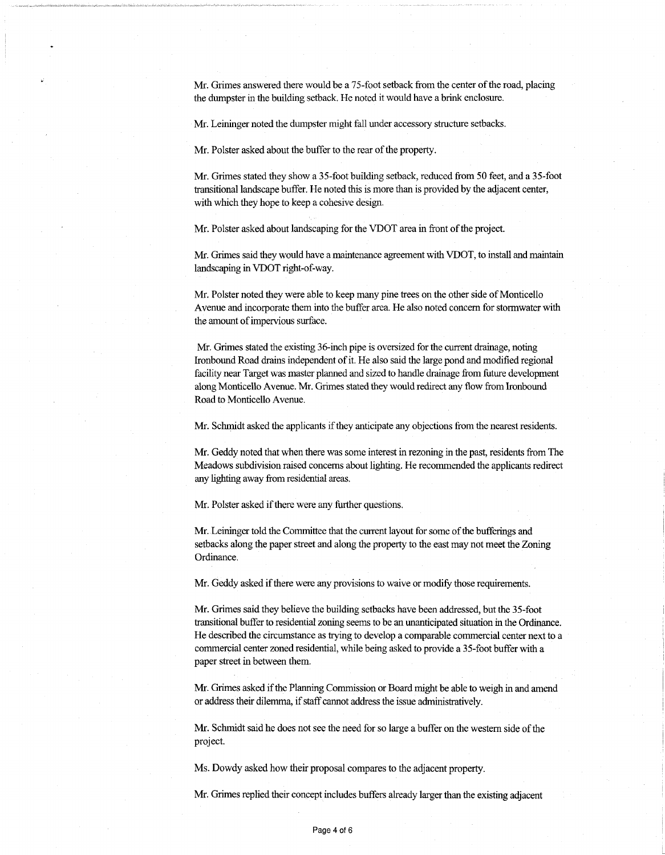Mr. Grimes answered there would be a 75-foot setback from the center of the road, placing the dumpster in the building setback. He noted it would have a brink enclosure.

Mr. Leininger noted the dumpster might fall under accessory structure setbacks.

Mr. Polster asked about the buffer to the rear of the property.

Mr. Grimes stated they show a 35-foot building setback, reduced from 50 feet, and a 35-foot transitional landscape buffer. He noted this is more than is provided by the adjacent center, with which they hope to keep a cohesive design.

Mr. Polster asked about landscaping for the VDOT area in front of the project.

Mr. Grimes said they would have a maintenance agreement with VDOT, to install and maintain landscaping in VDOT right-of-way.

Mr. Polster noted they were able to keep many pine trees on the other side of Monticello Avenue and incorporate them into the buffer area. He also noted concern for stormwater with the amount of impervious surface.

Mr. Grimes stated the existing 36-inch pipe is oversized forthe current drainage, noting Ironbound Road drains independent ofit. He also said the large pond and modified regional facility near Target was master planned and sized to handle drainage from future development along Monticello Avenue. Mr. Grimes stated they would redirect any flow from Ironbound Road to Monticello Avenue.

Mr. Schmidt asked the applicants if they anticipate any objections from the nearest residents.

Mr. Geddy noted that when there was some interest in rezoning in the past, residents from The Meadows subdivision raised concerns aboutlighting. He recommended the applicants redirect any lighting away fromresidential areas.

Mr. Polster asked if there were any further questions.

Mr. Leininger told the Committee that the current layout for some of the bufferings and setbacks along the paper street and along the property to the east may not meet the Zoning Ordinance.

Mr. Geddy asked if there were any provisions to waive or modify those requirements.

Mr. Grimes said they believe the building setbacks have been addressed, butthe 35-foot transitional bufferto residential zoning seems to be an unanticipated situation in the Ordinance. He described the circumstance as trying to develop a comparable commercial center nextto a commercial center zoned residential, while being asked to provide a 35-foot buffer with a paper street in between them.

Mr. Grimes asked ifthe Planning Commission or Board might be able to weigh in and amend or address their dilemma, if staff cannot address the issue administratively.

Mr. Schmidt said he does not see the need for so large a buffer on the western side of the project.

Ms. Dowdy asked how their proposal compares to the adjacent property.

Mr. Grimes replied their concept includes buffers already larger than the existing adjacent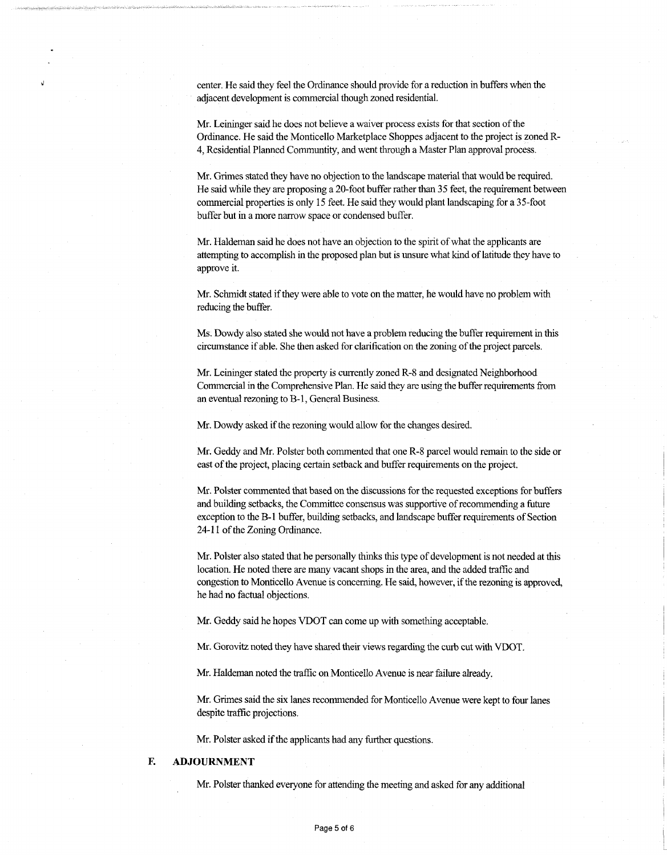center. He said they feel the Ordinance should provide for a reduction in buffers when the adjacent development is commercial though zoned residential.

Mr. Leininger said he does not believe a waiver process exists for that section of the Ordinance. He said the Monticello Marketplace Shoppes adjacent to the project is zoned R-4, Residential Planned Communtity, and went through a Master Plan approval process.

Mr. Grimes stated they have no objection to the landscape material that would be required. He said while they are proposing a 20-foot buffer rather than 35 feet, the requirement between commercial properties is only 15 feet. He said they would plant landscaping for a 35-foot buffer but in a more narrow space or condensed buffer.

Mr. Haldeman said he does not have an objection to the spirit of what the applicants are attempting to accomplish in the proposed plan but is unsure what kind of latitude they have to approve it.

Mr. Schmidt stated if they were able to vote on the matter, he would have no problem with reducing the buffer.

Ms. Dowdy also stated she would not have a problem reducing the buffer requirement in this circumstance ifable. She then asked for clarification on the zoning ofthe project parcels.

Mr. Leininger stated the property is currently zoned R-8 and designated Neighborhood Commercial in the Comprehensive Plan. He said they are using the buffer requirements from an eventual rezoning toB-l, General Business.

Mr. Dowdy asked if the rezoning would allow for the changes desired.

Mr. Geddy and Mr. Polster both commented that one R-8 parcel would remain to the side or east of the project, placing certain setback and buffer requirements on the project.

Mr. Polster commented that based on the discussions for the requested exceptions forbuffers and building setbacks, the Committee consensus was supportive ofrecommending a future exception to the B-1 buffer, building setbacks, and landscape buffer requirements of Section 24-11 of the Zoning Ordinance.

Mr. Polster also stated that he personally thinks this type of development is not needed at this location. He noted there are many vacant shops in the area, and the added traffic and congestion to Monticello Avenue is concerning. He said, however, ifthe rezoning is approved, he had no factual objections.

Mr. Geddy said he hopes VDOT can come up with something acceptable.

Mr. Gorovitz noted they have shared their viewsregarding the curb cut with VDOT.

Mr. Haldeman noted the traffic on Monticello Avenue is near failure already.

Mr. Grimes said the six lanes recommended for Monticello Avenue were kept to four lanes despite traffic projections.

Mr. Polster asked if the applicants had any further questions.

## **F. ADJOURNMENT**

Mr. Polster thanked everyone for attending the meeting and asked for any additional